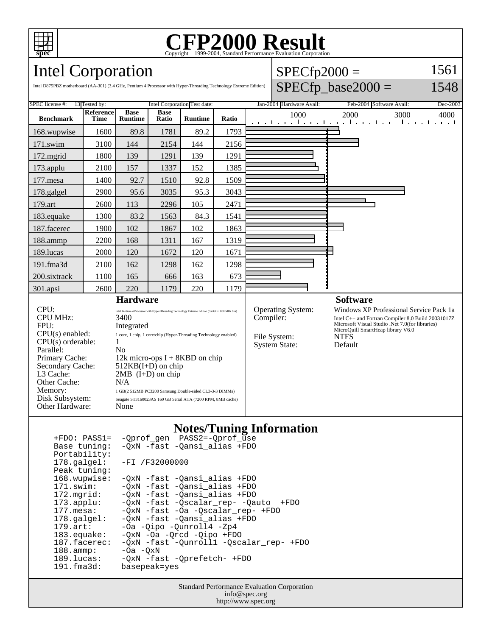

# Copyright ©1999-2004, Standard Performance Evaluation Corporation

 $SPECfp2000 =$ 

1561

# Intel Corporation

| Intel D875PBZ motherboard (AA-301) (3.4 GHz, Pentium 4 Processor with Hyper-Threading Technology Extreme Edition)                                                                         |                          |                                                                                                                                                                                                                                                                                                                                                                                                                           |                                                                  |                |       |           |                                                                  | $SPECfp\_base2000 =$                                                                                                                                                                                            | 1548 |
|-------------------------------------------------------------------------------------------------------------------------------------------------------------------------------------------|--------------------------|---------------------------------------------------------------------------------------------------------------------------------------------------------------------------------------------------------------------------------------------------------------------------------------------------------------------------------------------------------------------------------------------------------------------------|------------------------------------------------------------------|----------------|-------|-----------|------------------------------------------------------------------|-----------------------------------------------------------------------------------------------------------------------------------------------------------------------------------------------------------------|------|
| <b>SPEC</b> license #:<br>13 Tested by:<br>Intel Corporation Test date:                                                                                                                   |                          |                                                                                                                                                                                                                                                                                                                                                                                                                           | Jan-2004 Hardware Avail:<br>Feb-2004 Software Avail:<br>Dec-2003 |                |       |           |                                                                  |                                                                                                                                                                                                                 |      |
| <b>Benchmark</b>                                                                                                                                                                          | Reference<br><b>Time</b> | <b>Base</b><br><b>Runtime</b>                                                                                                                                                                                                                                                                                                                                                                                             | <b>Base</b><br>Ratio                                             | <b>Runtime</b> | Ratio |           | 1000                                                             | 2000<br>3000<br>المتواجب والمتواطن والمتواطن والمتواطن والمتو                                                                                                                                                   | 4000 |
| 168.wupwise                                                                                                                                                                               | 1600                     | 89.8                                                                                                                                                                                                                                                                                                                                                                                                                      | 1781                                                             | 89.2           | 1793  |           |                                                                  |                                                                                                                                                                                                                 |      |
| 171.swim                                                                                                                                                                                  | 3100                     | 144                                                                                                                                                                                                                                                                                                                                                                                                                       | 2154                                                             | 144            | 2156  |           |                                                                  |                                                                                                                                                                                                                 |      |
| $172$ .mgrid                                                                                                                                                                              | 1800                     | 139                                                                                                                                                                                                                                                                                                                                                                                                                       | 1291                                                             | 139            | 1291  |           |                                                                  |                                                                                                                                                                                                                 |      |
| 173.applu                                                                                                                                                                                 | 2100                     | 157                                                                                                                                                                                                                                                                                                                                                                                                                       | 1337                                                             | 152            | 1385  |           |                                                                  |                                                                                                                                                                                                                 |      |
| $177$ .mesa                                                                                                                                                                               | 1400                     | 92.7                                                                                                                                                                                                                                                                                                                                                                                                                      | 1510                                                             | 92.8           | 1509  |           |                                                                  |                                                                                                                                                                                                                 |      |
| 178.galgel                                                                                                                                                                                | 2900                     | 95.6                                                                                                                                                                                                                                                                                                                                                                                                                      | 3035                                                             | 95.3           | 3043  |           |                                                                  |                                                                                                                                                                                                                 |      |
| 179.art                                                                                                                                                                                   | 2600                     | 113                                                                                                                                                                                                                                                                                                                                                                                                                       | 2296                                                             | 105            | 2471  |           |                                                                  |                                                                                                                                                                                                                 |      |
| 183.equake                                                                                                                                                                                | 1300                     | 83.2                                                                                                                                                                                                                                                                                                                                                                                                                      | 1563                                                             | 84.3           | 1541  |           |                                                                  |                                                                                                                                                                                                                 |      |
| 187.facerec                                                                                                                                                                               | 1900                     | 102                                                                                                                                                                                                                                                                                                                                                                                                                       | 1867                                                             | 102            | 1863  |           |                                                                  |                                                                                                                                                                                                                 |      |
| 188.ammp                                                                                                                                                                                  | 2200                     | 168                                                                                                                                                                                                                                                                                                                                                                                                                       | 1311                                                             | 167            | 1319  |           |                                                                  |                                                                                                                                                                                                                 |      |
| 189.lucas                                                                                                                                                                                 | 2000                     | 120                                                                                                                                                                                                                                                                                                                                                                                                                       | 1672                                                             | 120            | 1671  |           |                                                                  |                                                                                                                                                                                                                 |      |
| 191.fma3d                                                                                                                                                                                 | 2100                     | 162                                                                                                                                                                                                                                                                                                                                                                                                                       | 1298                                                             | 162            | 1298  |           |                                                                  |                                                                                                                                                                                                                 |      |
| 200.sixtrack                                                                                                                                                                              | 1100                     | 165                                                                                                                                                                                                                                                                                                                                                                                                                       | 666                                                              | 163            | 673   |           |                                                                  |                                                                                                                                                                                                                 |      |
| $301$ .apsi                                                                                                                                                                               | 2600                     | 220                                                                                                                                                                                                                                                                                                                                                                                                                       | 1179                                                             | 220            | 1179  |           |                                                                  |                                                                                                                                                                                                                 |      |
| <b>Hardware</b>                                                                                                                                                                           |                          |                                                                                                                                                                                                                                                                                                                                                                                                                           |                                                                  |                |       |           |                                                                  | <b>Software</b>                                                                                                                                                                                                 |      |
| CPU:<br><b>CPU MHz:</b><br>FPU:<br>$CPU(s)$ enabled:<br>$CPU(s)$ orderable:<br>Parallel:<br>Primary Cache:<br>Secondary Cache:<br>L3 Cache:<br>Other Cache:<br>Memory:<br>Disk Subsystem: |                          | Intel Pentium 4 Processor with Hyper-Threading Technology Extreme Edition (3.4 GHz, 800 MHz bus)<br>3400<br>Integrated<br>1 core, 1 chip, 1 core/chip (Hyper-Threading Technology enabled)<br>1<br>No<br>12k micro-ops $I + 8KBD$ on chip<br>$512KB(I+D)$ on chip<br>$2MB$ (I+D) on chip<br>N/A<br>1 GB(2 512MB PC3200 Samsung Double-sided CL3-3-3 DIMMs)<br>Seagate ST3160023AS 160 GB Serial ATA (7200 RPM, 8MB cache) |                                                                  |                |       | Compiler: | <b>Operating System:</b><br>File System:<br><b>System State:</b> | Windows XP Professional Service Pack 1a<br>Intel C++ and Fortran Compiler 8.0 Build 20031017Z<br>Microsoft Visual Studio .Net 7.0(for libraries)<br>MicroQuill SmartHeap library V6.0<br><b>NTFS</b><br>Default |      |
| Other Hardware:                                                                                                                                                                           |                          | None                                                                                                                                                                                                                                                                                                                                                                                                                      |                                                                  |                |       |           |                                                                  |                                                                                                                                                                                                                 |      |

### **Notes/Tuning Information**

| $+FDO: PASS1=$        | -Qprof_gen PASS2=-Qprof_use             |
|-----------------------|-----------------------------------------|
| Base tuning:          | -OxN -fast -Oansi alias +FDO            |
| Portability:          |                                         |
| $178.\text{qalgel}$ : | $-FI / F32000000$                       |
| Peak tuning:          |                                         |
| 168.wupwise:          | -QxN -fast -Qansi alias +FDO            |
| 171.swim:             | -OxN -fast -Oansi alias +FDO            |
| $172.\text{mgrid}:$   | -OxN -fast -Oansi alias +FDO            |
| $173.\text{applu}:$   | -QxN -fast -Qscalar rep- -Qauto<br>+FDO |
| $177.\text{mesa}$ :   | -OxN -fast -Oa -Oscalar rep- +FDO       |
| $178.\text{qalgel}$ : | -OxN -fast -Oansi alias +FDO            |
| $179.\text{art}$ :    | -Oa -Oipo -Ounroll4 -Zp4                |
| $183$ .equake:        | $-0xN$ $-0a$ $-0rcd$ $-0ipo$ $+FD0$     |
| 187.facerec:          | -OxN -fast -Ounroll1 -Oscalar rep- +FDO |
| $188.\t{amm}:$        | $-0a$ $-0xN$                            |
| 189.lucas:            | -OxN -fast -Oprefetch- +FDO             |
| $191.f$ ma $3d$ :     | basepeak=yes                            |

Standard Performance Evaluation Corporation info@spec.org http://www.spec.org